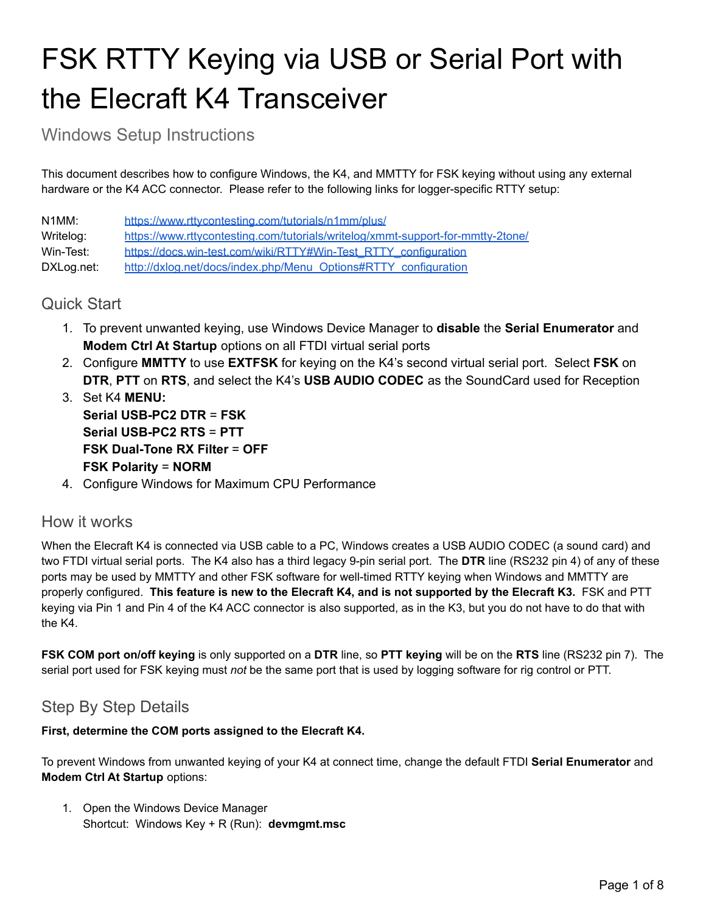# FSK RTTY Keying via USB or Serial Port with the Elecraft K4 Transceiver

Windows Setup Instructions

This document describes how to configure Windows, the K4, and MMTTY for FSK keying without using any external hardware or the K4 ACC connector. Please refer to the following links for logger-specific RTTY setup:

N1MM: <https://www.rttycontesting.com/tutorials/n1mm/plus/> Writelog: <https://www.rttycontesting.com/tutorials/writelog/xmmt-support-for-mmtty-2tone/> Win-Test: [https://docs.win-test.com/wiki/RTTY#Win-Test\\_RTTY\\_configuration](https://docs.win-test.com/wiki/RTTY#Win-Test_RTTY_configuration) DXLog.net: [http://dxlog.net/docs/index.php/Menu\\_Options#RTTY\\_configuration](http://dxlog.net/docs/index.php/Menu_Options#RTTY_configuration)

# Quick Start

- 1. To prevent unwanted keying, use Windows Device Manager to **disable** the **Serial Enumerator** and **Modem Ctrl At Startup** options on all FTDI virtual serial ports
- 2. Configure **MMTTY** to use **EXTFSK** for keying on the K4's second virtual serial port. Select **FSK** on **DTR**, **PTT** on **RTS**, and select the K4's **USB AUDIO CODEC** as the SoundCard used for Reception
- 3. Set K4 **MENU: Serial USB-PC2 DTR** = **FSK Serial USB-PC2 RTS** = **PTT FSK Dual-Tone RX Filter** = **OFF FSK Polarity** = **NORM**
- 4. Configure Windows for Maximum CPU Performance

## How it works

When the Elecraft K4 is connected via USB cable to a PC, Windows creates a USB AUDIO CODEC (a sound card) and two FTDI virtual serial ports. The K4 also has a third legacy 9-pin serial port. The **DTR** line (RS232 pin 4) of any of these ports may be used by MMTTY and other FSK software for well-timed RTTY keying when Windows and MMTTY are properly configured. This feature is new to the Elecraft K4, and is not supported by the Elecraft K3. FSK and PTT keying via Pin 1 and Pin 4 of the K4 ACC connector is also supported, as in the K3, but you do not have to do that with the K4.

**FSK COM port on/off keying** is only supported on a **DTR** line, so **PTT keying** will be on the **RTS** line (RS232 pin 7). The serial port used for FSK keying must *not* be the same port that is used by logging software for rig control or PTT.

# Step By Step Details

## **First, determine the COM ports assigned to the Elecraft K4.**

To prevent Windows from unwanted keying of your K4 at connect time, change the default FTDI **Serial Enumerator** and **Modem Ctrl At Startup** options:

1. Open the Windows Device Manager Shortcut: Windows Key + R (Run): **devmgmt.msc**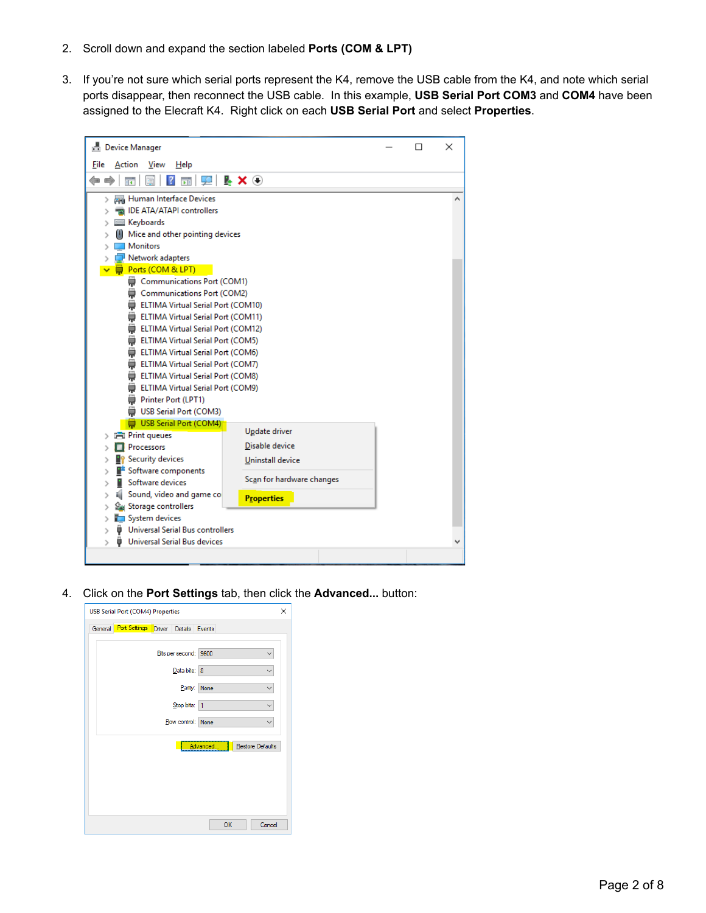- 2. Scroll down and expand the section labeled **Ports (COM & LPT)**
- 3. If you're not sure which serial ports represent the K4, remove the USB cable from the K4, and note which serial ports disappear, then reconnect the USB cable. In this example, **USB Serial Port COM3** and **COM4** have been assigned to the Elecraft K4. Right click on each **USB Serial Port** and select **Properties**.

| 昌 Device Manager                                                         | п | × |
|--------------------------------------------------------------------------|---|---|
| File<br>View<br>Action<br>Help                                           |   |   |
| <b>ΣEX⊕</b><br>祘                                                         |   |   |
| Human Interface Devices<br>⋋                                             |   |   |
| IDE ATA/ATAPI controllers                                                |   |   |
| Keyboards                                                                |   |   |
| Mice and other pointing devices                                          |   |   |
| <b>Monitors</b>                                                          |   |   |
| Network adapters                                                         |   |   |
| Ports (COM & LPT)                                                        |   |   |
| Communications Port (COM1)                                               |   |   |
| Communications Port (COM2)<br>₩                                          |   |   |
| ELTIMA Virtual Serial Port (COM10)                                       |   |   |
| ELTIMA Virtual Serial Port (COM11)<br>ELTIMA Virtual Serial Port (COM12) |   |   |
| ELTIMA Virtual Serial Port (COM5)                                        |   |   |
| ELTIMA Virtual Serial Port (COM6)                                        |   |   |
| ELTIMA Virtual Serial Port (COM7)                                        |   |   |
| ELTIMA Virtual Serial Port (COM8)                                        |   |   |
| ELTIMA Virtual Serial Port (COM9)                                        |   |   |
| Printer Port (LPT1)                                                      |   |   |
| <b>USB Serial Port (COM3)</b><br>⊜                                       |   |   |
| USB Serial Port (COM4)                                                   |   |   |
| Update driver<br><b>Print queues</b>                                     |   |   |
| Disable device<br>Processors                                             |   |   |
| Security devices<br>Uninstall device                                     |   |   |
| Software components                                                      |   |   |
| Scan for hardware changes<br>Software devices                            |   |   |
| Sound, video and game co<br><b>Properties</b>                            |   |   |
| Storage controllers                                                      |   |   |
| System devices                                                           |   |   |
| <b>Universal Serial Bus controllers</b>                                  |   |   |
| <b>Universal Serial Bus devices</b><br>>                                 |   |   |
|                                                                          |   |   |

4. Click on the **Port Settings** tab, then click the **Advanced...** button:

| ×<br><b>USB Serial Port (COM4) Properties</b><br>General Port Settings Driver Details Events |  |  |                       |              |  |                  |  |  |
|----------------------------------------------------------------------------------------------|--|--|-----------------------|--------------|--|------------------|--|--|
|                                                                                              |  |  |                       |              |  |                  |  |  |
|                                                                                              |  |  | Bits per second: 9600 |              |  |                  |  |  |
|                                                                                              |  |  | Data bits: 8          |              |  |                  |  |  |
|                                                                                              |  |  |                       | Parity: None |  |                  |  |  |
|                                                                                              |  |  | Stop bits: 1          |              |  |                  |  |  |
|                                                                                              |  |  | Flow control: None    |              |  |                  |  |  |
|                                                                                              |  |  |                       | Advanced     |  | Restore Defaults |  |  |
|                                                                                              |  |  |                       |              |  |                  |  |  |
|                                                                                              |  |  |                       |              |  |                  |  |  |
|                                                                                              |  |  |                       |              |  |                  |  |  |
|                                                                                              |  |  |                       |              |  |                  |  |  |
|                                                                                              |  |  |                       | OK           |  | Cancel           |  |  |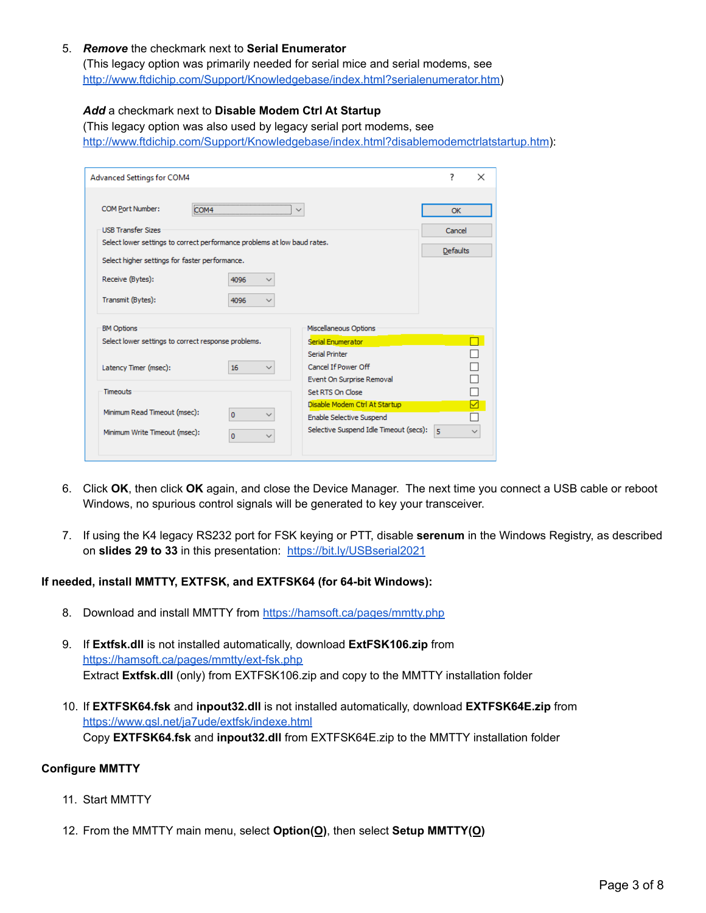### 5. *Remove* the checkmark next to **Serial Enumerator**

(This legacy option was primarily needed for serial mice and serial modems, see [http://www.ftdichip.com/Support/Knowledgebase/index.html?serialenumerator.htm\)](http://www.ftdichip.com/Support/Knowledgebase/index.html?serialenumerator.htm)

## *Add* a checkmark next to **Disable Modem Ctrl At Startup**

(This legacy option was also used by legacy serial port modems, see <http://www.ftdichip.com/Support/Knowledgebase/index.html?disablemodemctrlatstartup.htm>):

| Advanced Settings for COM4                     |                                                                          |                                        | ?<br>$\times$   |
|------------------------------------------------|--------------------------------------------------------------------------|----------------------------------------|-----------------|
| COM Port Number:                               | ™0.                                                                      |                                        | OK              |
| <b>USB Transfer Sizes</b>                      |                                                                          |                                        | Cancel          |
|                                                | Select lower settings to correct performance problems at low baud rates. |                                        |                 |
| Select higher settings for faster performance. |                                                                          |                                        | <b>Defaults</b> |
| Receive (Bytes):                               | 4096                                                                     |                                        |                 |
| Transmit (Bytes):                              | 4096                                                                     |                                        |                 |
| <b>BM Options</b>                              |                                                                          | Miscellaneous Options                  |                 |
|                                                | Select lower settings to correct response problems.                      | Serial Enumerator                      |                 |
|                                                |                                                                          | <b>Serial Printer</b>                  |                 |
| Latency Timer (msec):                          | 16                                                                       | Cancel If Power Off                    |                 |
|                                                |                                                                          | Event On Surprise Removal              |                 |
| <b>Timeouts</b>                                |                                                                          | Set RTS On Close                       |                 |
| Minimum Read Timeout (msec):                   | $\Omega$                                                                 | Disable Modem Ctrl At Startup          | ☑               |
|                                                |                                                                          | Enable Selective Suspend               |                 |
| Minimum Write Timeout (msec):                  | o                                                                        | Selective Suspend Idle Timeout (secs): | 5               |

- 6. Click **OK**, then click **OK** again, and close the Device Manager. The next time you connect a USB cable or reboot Windows, no spurious control signals will be generated to key your transceiver.
- 7. If using the K4 legacy RS232 port for FSK keying or PTT, disable **serenum** in the Windows Registry, as described on **slides 29 to 33** in this presentation: <https://bit.ly/USBserial2021>

### **If needed, install MMTTY, EXTFSK, and EXTFSK64 (for 64-bit Windows):**

- 8. Download and install MMTTY from <https://hamsoft.ca/pages/mmtty.php>
- 9. If **Extfsk.dll** is not installed automatically, download **ExtFSK106.zip** from <https://hamsoft.ca/pages/mmtty/ext-fsk.php> Extract **Extfsk.dll** (only) from EXTFSK106.zip and copy to the MMTTY installation folder
- 10. If **EXTFSK64.fsk** and **inpout32.dll** is not installed automatically, download **EXTFSK64E.zip** from <https://www.qsl.net/ja7ude/extfsk/indexe.html> Copy **EXTFSK64.fsk** and **inpout32.dll** from EXTFSK64E.zip to the MMTTY installation folder

#### **Configure MMTTY**

- 11. Start MMTTY
- 12. From the MMTTY main menu, select **Option(O)**, then select **Setup MMTTY(O)**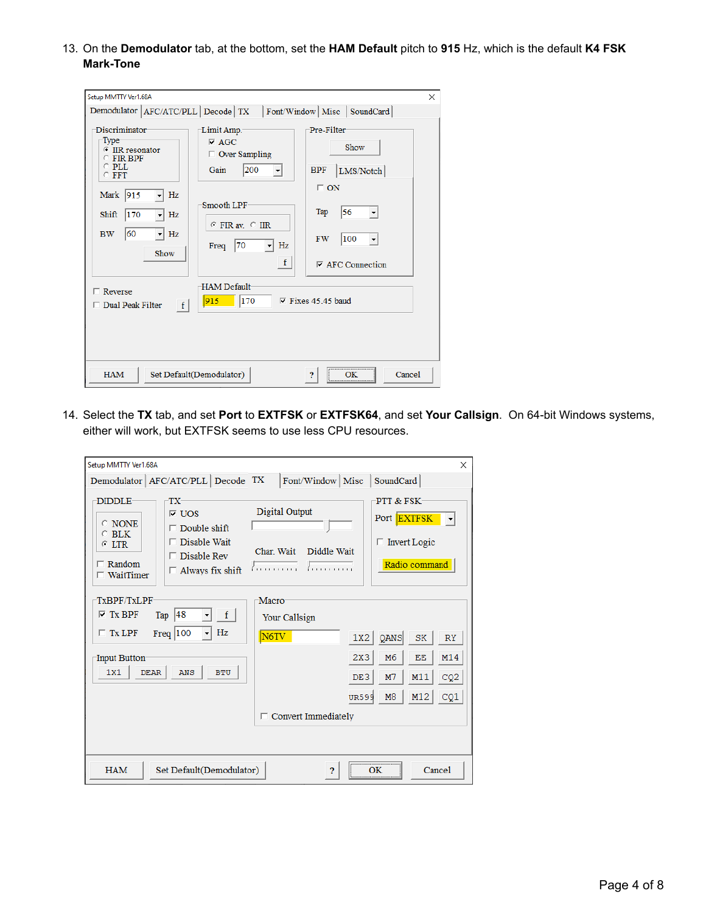13. On the **Demodulator** tab, at the bottom, set the **HAM Default** pitch to **915** Hz, which is the default **K4 FSK Mark-Tone**

| Setup MMTTY Ver1.68A                                                                                                                                                                                   |                                                                                                                                                        | $\times$                                                                                                                 |
|--------------------------------------------------------------------------------------------------------------------------------------------------------------------------------------------------------|--------------------------------------------------------------------------------------------------------------------------------------------------------|--------------------------------------------------------------------------------------------------------------------------|
|                                                                                                                                                                                                        | Demodulator   AFC/ATC/PLL   Decode   TX   Font/Window   Misc   SoundCard                                                                               |                                                                                                                          |
| Discriminator<br>Type <sup>-</sup><br><b>E</b> IIR resonator<br>$C$ FIR BPF<br>$\circ$ PLL<br>$C$ FFT<br>Mark 915<br>Hz<br>170<br>Shift<br>Hz<br>60<br>Hz<br><b>BW</b><br>$\blacktriangledown$<br>Show | Limit Amp.-<br>$\nabla$ AGC<br>$\Box$ Over Sampling<br>200<br>Gain<br>$\vert$<br>Smooth LPF<br>$C$ FIR av $C$ IIR<br>Hz<br> 70<br>Freq<br>$\mathbf{f}$ | -Pre-Filter<br>Show<br>LMS/Notch<br><b>BPF</b><br>$\Box$ ON<br>56<br>Tap<br> 100<br><b>FW</b><br>$\nabla$ AFC Connection |
| $\Box$ Reverse                                                                                                                                                                                         | <b>HAM Default</b>                                                                                                                                     |                                                                                                                          |
| $\Box$ Dual Peak Filter<br> f                                                                                                                                                                          | $ 915 $   170                                                                                                                                          | $\nabla$ Fixes 45.45 baud                                                                                                |
|                                                                                                                                                                                                        |                                                                                                                                                        |                                                                                                                          |
| <b>HAM</b>                                                                                                                                                                                             | Set Default(Demodulator)                                                                                                                               | Cancel                                                                                                                   |

14. Select the **TX** tab, and set **Port** to **EXTFSK** or **EXTFSK64**, and set **Your Callsign**. On 64-bit Windows systems, either will work, but EXTFSK seems to use less CPU resources.

| Setup MMTTY Ver1.68A                                                                           |                                                                                                                          |                                                                     | ×                                                                                                                                                                       |
|------------------------------------------------------------------------------------------------|--------------------------------------------------------------------------------------------------------------------------|---------------------------------------------------------------------|-------------------------------------------------------------------------------------------------------------------------------------------------------------------------|
|                                                                                                | Demodulator AFC/ATC/PLL Decode TX                                                                                        |                                                                     | Font/Window   Misc   SoundCard                                                                                                                                          |
| <b>DIDDLE</b><br>$\odot$ NONE<br>$\circ$ BLK<br>$C$ LTR<br>$\Gamma$ Random<br>$\Box$ WaitTimer | TX-<br>$\triangledown$ UOS<br>$\Box$ Double shift<br>$\Box$ Disable Wait<br>Disable Rev<br>п.<br>$\Box$ Always fix shift | Digital Output<br>Char Wait<br>Diddle Wait<br>1.1.1.1.1.1.1.1<br>1. | PTT & FSK-<br>Port EXTFSK<br>$\Box$ Invert Logic<br>Radio command                                                                                                       |
| TxBPF/TxLPF<br>$\nabla$ Tx BPF<br>$\Box$ Tx LPF<br>Input Button<br>1x1<br><b>DEAR</b>          | 48<br> f <br>Tap<br>Hz<br>Freq $ 100$<br>┯╎<br>ANS<br><b>BTU</b>                                                         | Macro<br>Your Callsign<br>N6TV                                      | QANS<br>1X2<br><b>SK</b><br><b>RY</b><br>2X3<br>M14<br>M <sub>6</sub><br>EE<br>M11<br>CQ <sub>2</sub><br>DE3<br>M <sub>7</sub><br>M12<br>M <sub>8</sub><br>CQ1<br>UR599 |
|                                                                                                |                                                                                                                          | $\Box$ Convert Immediately                                          |                                                                                                                                                                         |
|                                                                                                |                                                                                                                          |                                                                     |                                                                                                                                                                         |
| <b>HAM</b>                                                                                     | Set Default(Demodulator)                                                                                                 | 2                                                                   | Cancel<br>OΚ                                                                                                                                                            |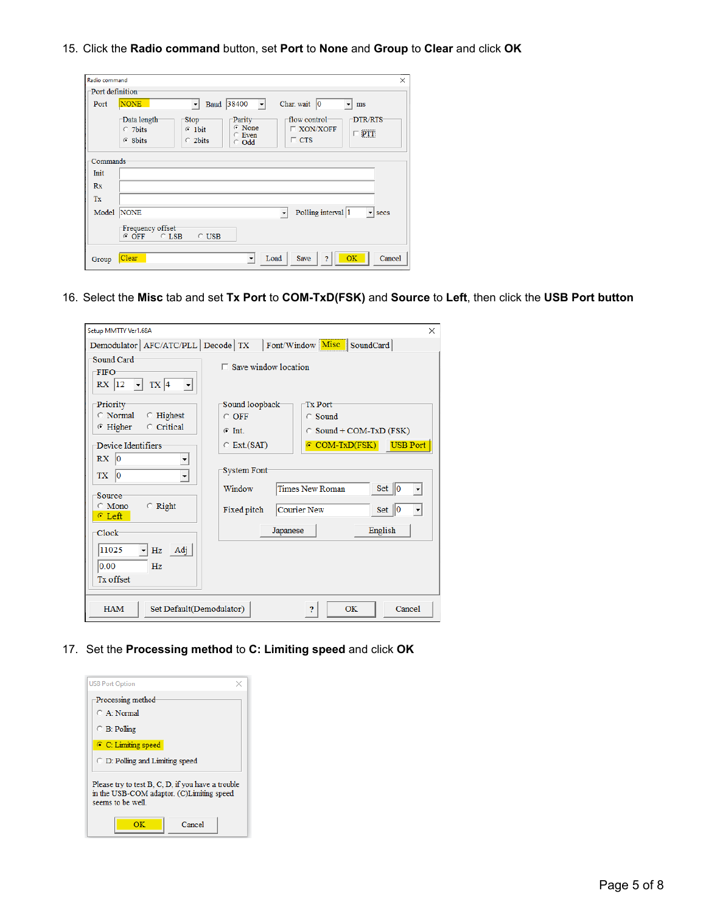15. Click the **Radio command** button, set **Port** to **None** and **Group** to **Clear** and click **OK**

| Radio command         |                                           |                                                                                                 |                                                                          | $\times$ |
|-----------------------|-------------------------------------------|-------------------------------------------------------------------------------------------------|--------------------------------------------------------------------------|----------|
| Port definition       |                                           |                                                                                                 |                                                                          |          |
| Port                  | <b>NONE</b>                               | $ 38400 - \rightharpoonup $<br>Baud<br>$\ddot{\phantom{1}}$                                     | Char. wait $ 0\rangle$<br>$\overline{\phantom{a}}$<br>ms                 |          |
|                       | Data length<br>$\degree$ 7bits<br>G 8bits | Parity<br><b>Stop</b><br>$\odot$ None<br>$C$ 1bit<br>$C$ Even<br>$\degree$ 2bits<br>$\odot$ Odd | flow control<br>DTR/RTS<br>$\Box$ XON/XOFF<br>$\Box$ PTT<br>$\Gamma$ CTS |          |
| Commands <sup>-</sup> |                                           |                                                                                                 |                                                                          |          |
| Init                  |                                           |                                                                                                 |                                                                          |          |
| Rx                    |                                           |                                                                                                 |                                                                          |          |
| Tx                    |                                           |                                                                                                 |                                                                          |          |
| Model                 | <b>NONE</b>                               |                                                                                                 | Polling interval 1<br>$\mathbf{r}$ secs                                  |          |
|                       | Frequency offset<br>$G$ OFF<br>$C$ LSB    | $\circ$ USB                                                                                     |                                                                          |          |
| Group                 | Clear                                     | ۰                                                                                               | <b>OK</b><br>Cancel<br>Load<br><b>Save</b><br>$\overline{2}$             |          |

16. Select the **Misc** tab and set **Tx Port** to **COM-TxD(FSK)** and **Source** to **Left**, then click the **USB Port button**

| Setup MMTTY Ver1.68A                                                                                |                                      |             |                                 |           | $\times$                                          |
|-----------------------------------------------------------------------------------------------------|--------------------------------------|-------------|---------------------------------|-----------|---------------------------------------------------|
| Demodulator   AFC/ATC/PLL   Decode   TX   Font/Window   Misc   SoundCard                            |                                      |             |                                 |           |                                                   |
| Sound Card<br><b>FIFO</b><br>$RX$   $12$ $\rightarrow$  <br>$TX$ 4<br>$\vert$                       | $\Box$ Save window location          |             |                                 |           |                                                   |
| Priority<br>$\circ$ Normal<br>$\circ$ Highest                                                       | Sound loopback-<br>$\circ$ OFF       |             | <b>Tx Port</b><br>$\circ$ Sound |           |                                                   |
| C Critical<br>$\odot$ Higher                                                                        | $G$ Int.                             |             | $\circ$ Sound + COM-TxD (FSK)   |           |                                                   |
| Device Identifiers                                                                                  | $\circ$ Ext.(SAT)                    |             | $\epsilon$ COM-TxD(FSK)         |           | <b>USB Port</b>                                   |
| RX<br>$ 0\rangle$<br>$ 0\rangle$<br>TX<br>▼<br>Source:<br>$\circ$ Right<br>$\odot$ Mono<br>$C$ Left | System Font<br>Window<br>Fixed pitch | Courier New | <b>Times New Roman</b>          |           | $Set \parallel 0$<br>$Set \parallel 0$<br>$\vert$ |
| Clock-                                                                                              |                                      | Japanese    |                                 | English   |                                                   |
| 11025<br>Adj<br>Hz<br>0.00<br>Hz<br>Tx offset                                                       |                                      |             |                                 |           |                                                   |
| <b>HAM</b><br>Set Default(Demodulator)                                                              |                                      |             | <sup>2</sup>                    | <b>OK</b> | Cancel                                            |

17. Set the **Processing method** to **C: Limiting speed** and click **OK**

| <b>USB Port Option</b>                                                                                              |  |  |  |  |  |  |  |
|---------------------------------------------------------------------------------------------------------------------|--|--|--|--|--|--|--|
| Processing method<br>$C$ A Normal                                                                                   |  |  |  |  |  |  |  |
| $\bigcirc$ B: Polling                                                                                               |  |  |  |  |  |  |  |
| C: Limiting speed                                                                                                   |  |  |  |  |  |  |  |
| $\bigcirc$ D: Polling and Limiting speed                                                                            |  |  |  |  |  |  |  |
| Please try to test B, C, D, if you have a trouble<br>in the USB-COM adaptor. (C)Limiting speed<br>seems to be well. |  |  |  |  |  |  |  |
| Cancel<br>ΩК                                                                                                        |  |  |  |  |  |  |  |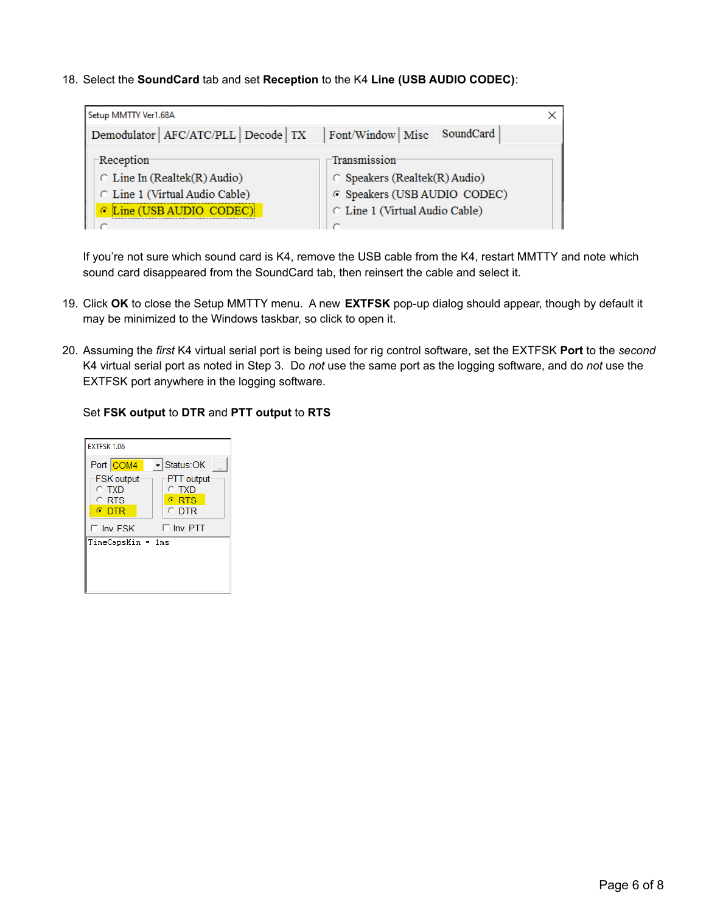18. Select the **SoundCard** tab and set **Reception** to the K4 **Line (USB AUDIO CODEC)**:

| Setup MMTTY Ver1.68A                                                                                                   |                                                                                                                       |
|------------------------------------------------------------------------------------------------------------------------|-----------------------------------------------------------------------------------------------------------------------|
| Demodulator   AFC/ATC/PLL   Decode   TX                                                                                | SoundCard<br>Font/Window Misc                                                                                         |
| -Reception-<br>$\circ$ Line In (Realtek(R) Audio)<br>C Line 1 (Virtual Audio Cable)<br><b>E</b> Line (USB AUDIO CODEC) | Transmission<br>$\circ$ Speakers (Realtek(R) Audio)<br>C Speakers (USB AUDIO CODEC)<br>C Line 1 (Virtual Audio Cable) |
|                                                                                                                        |                                                                                                                       |

If you're not sure which sound card is K4, remove the USB cable from the K4, restart MMTTY and note which sound card disappeared from the SoundCard tab, then reinsert the cable and select it.

- 19. Click **OK** to close the Setup MMTTY menu. A new **EXTFSK** pop-up dialog should appear, though by default it may be minimized to the Windows taskbar, so click to open it.
- 20. Assuming the *first* K4 virtual serial port is being used for rig control software, set the EXTFSK **Port** to the *second* K4 virtual serial port as noted in Step 3. Do *not* use the same port as the logging software, and do *not* use the EXTFSK port anywhere in the logging software.

#### Set **FSK output** to **DTR** and **PTT output** to **RTS**

| Status: OK                                                 |
|------------------------------------------------------------|
| PTT output<br>$\circ$ txd<br>$\epsilon$ RTS<br>$\circ$ dtr |
| $\Box$ Inv. PTT                                            |
| TimeCapsMin = 1ms                                          |
|                                                            |
|                                                            |
|                                                            |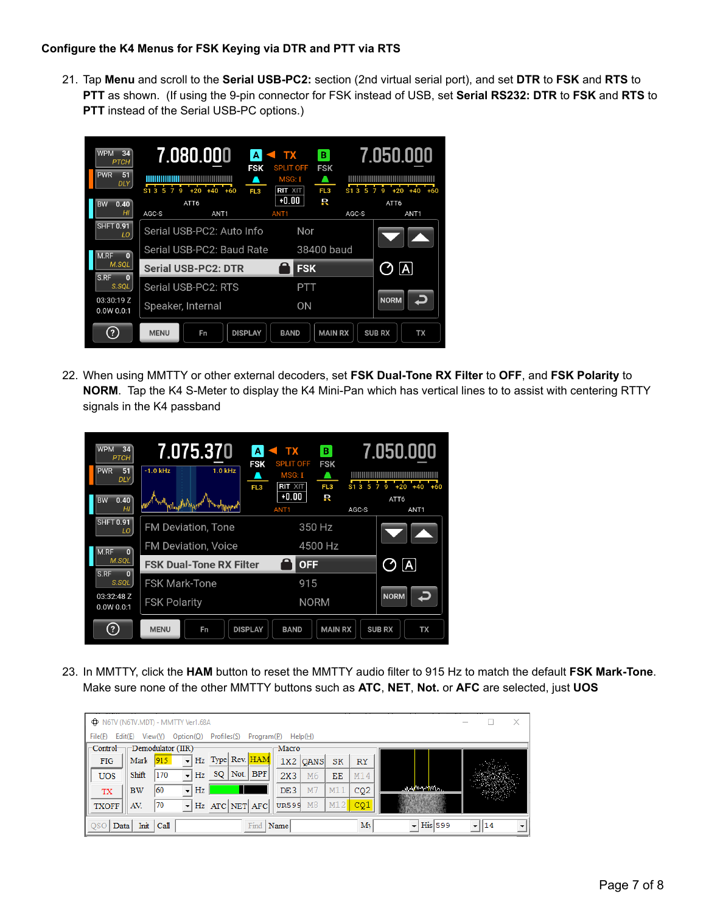#### **Configure the K4 Menus for FSK Keying via DTR and PTT via RTS**

21. Tap **Menu** and scroll to the **Serial USB-PC2:** section (2nd virtual serial port), and set **DTR** to **FSK** and **RTS** to **PTT** as shown. (If using the 9-pin connector for FSK instead of USB, set **Serial RS232: DTR** to **FSK** and **RTS** to **PTT** instead of the Serial USB-PC options.)



22. When using MMTTY or other external decoders, set **FSK Dual-Tone RX Filter** to **OFF**, and **FSK Polarity** to **NORM**. Tap the K4 S-Meter to display the K4 Mini-Pan which has vertical lines to to assist with centering RTTY signals in the K4 passband



23. In MMTTY, click the **HAM** button to reset the MMTTY audio filter to 915 Hz to match the default **FSK Mark-Tone**. Make sure none of the other MMTTY buttons such as **ATC**, **NET**, **Not.** or **AFC** are selected, just **UOS**

|                              |           |                   | <b>O</b> N6TV (N6TV.MDT) - MMTTY Ver1.68A |                  |            |              |          |     |           |                                 |    | × |
|------------------------------|-----------|-------------------|-------------------------------------------|------------------|------------|--------------|----------|-----|-----------|---------------------------------|----|---|
| File(F)                      | Edit(E)   | View(V)           | Option(O)                                 | Profiles(S)      | Program(P) |              | Help(H)  |     |           |                                 |    |   |
| $\sqsubset$ Control $\vdash$ |           |                   | $\Box$ Demodulator (IIR)                  |                  |            | Macro-       |          |     |           |                                 |    |   |
| <b>FIG</b>                   | Mark      | 915               |                                           | Hz Type Rev. HAM |            |              | 1X2 OANS | SK  | <b>RY</b> |                                 |    |   |
| <b>UOS</b>                   | Shift     | 170               | Hz                                        | SQ               | Not. BPF   | 2X3          | M6       | EЕ  | M14       |                                 |    |   |
| <b>TX</b>                    | <b>BW</b> | 60                | Hz<br>$\cdot$                             |                  |            | DE3          | M7       | M11 | CQ2       | <i>እስለ</i> የማረታየሳሉ              |    |   |
| <b>TXOFF</b>                 | AV.       | 70                | $\cdot$                                   | Hz ATC NET AFC   |            | <b>UR599</b> | M8       | M12 | CQ1       |                                 |    |   |
| QSC                          | Data      | $Init \vert Call$ |                                           |                  | Find       | Name         |          |     | My        | $\overline{\mathbf{H}}$ His 599 | 14 |   |